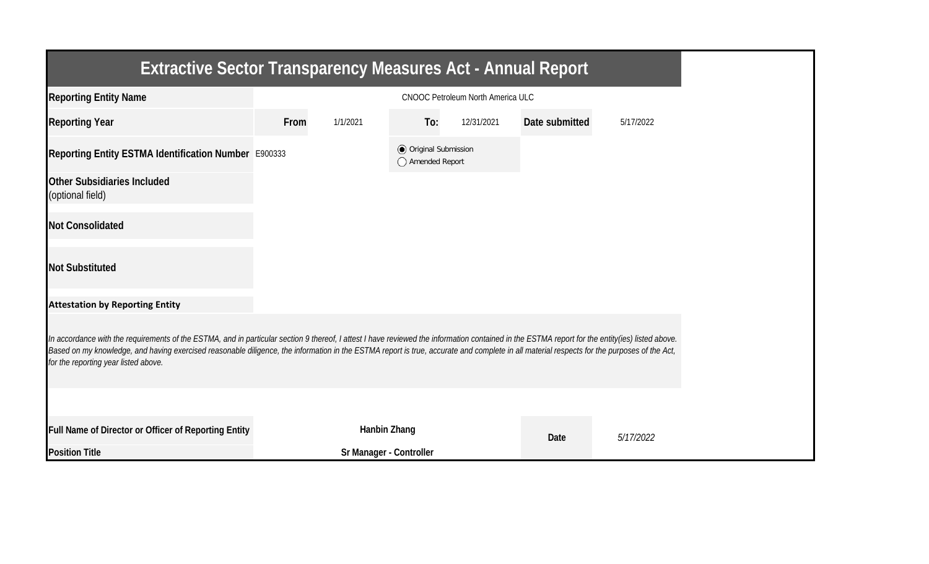| <b>Extractive Sector Transparency Measures Act - Annual Report</b>                                                                                                                                                                                                                                                                                                                                                                    |      |                         |                                                  |                                          |                |           |  |
|---------------------------------------------------------------------------------------------------------------------------------------------------------------------------------------------------------------------------------------------------------------------------------------------------------------------------------------------------------------------------------------------------------------------------------------|------|-------------------------|--------------------------------------------------|------------------------------------------|----------------|-----------|--|
| <b>Reporting Entity Name</b>                                                                                                                                                                                                                                                                                                                                                                                                          |      |                         |                                                  | <b>CNOOC Petroleum North America ULC</b> |                |           |  |
| <b>Reporting Year</b>                                                                                                                                                                                                                                                                                                                                                                                                                 | From | 1/1/2021                | To:                                              | 12/31/2021                               | Date submitted | 5/17/2022 |  |
| Reporting Entity ESTMA Identification Number E900333                                                                                                                                                                                                                                                                                                                                                                                  |      |                         | <b>◎</b> Original Submission<br>◯ Amended Report |                                          |                |           |  |
| <b>Other Subsidiaries Included</b><br>(optional field)                                                                                                                                                                                                                                                                                                                                                                                |      |                         |                                                  |                                          |                |           |  |
| <b>Not Consolidated</b>                                                                                                                                                                                                                                                                                                                                                                                                               |      |                         |                                                  |                                          |                |           |  |
| <b>Not Substituted</b>                                                                                                                                                                                                                                                                                                                                                                                                                |      |                         |                                                  |                                          |                |           |  |
| <b>Attestation by Reporting Entity</b>                                                                                                                                                                                                                                                                                                                                                                                                |      |                         |                                                  |                                          |                |           |  |
| In accordance with the requirements of the ESTMA, and in particular section 9 thereof, I attest I have reviewed the information contained in the ESTMA report for the entity(ies) listed above.<br>Based on my knowledge, and having exercised reasonable diligence, the information in the ESTMA report is true, accurate and complete in all material respects for the purposes of the Act,<br>for the reporting year listed above. |      |                         |                                                  |                                          |                |           |  |
|                                                                                                                                                                                                                                                                                                                                                                                                                                       |      |                         |                                                  |                                          |                |           |  |
| Full Name of Director or Officer of Reporting Entity                                                                                                                                                                                                                                                                                                                                                                                  |      | Hanbin Zhang            |                                                  |                                          | Date           | 5/17/2022 |  |
| <b>Position Title</b>                                                                                                                                                                                                                                                                                                                                                                                                                 |      | Sr Manager - Controller |                                                  |                                          |                |           |  |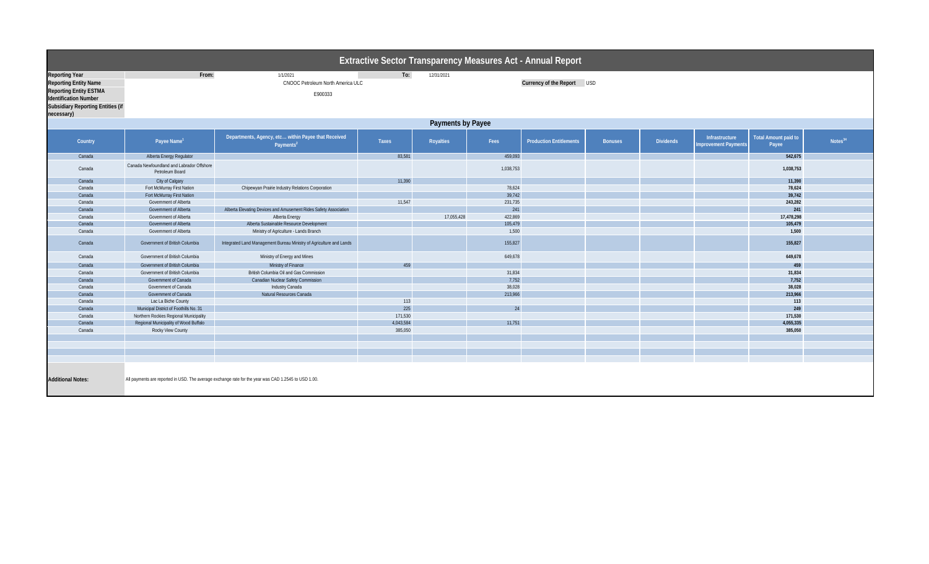| <b>Extractive Sector Transparency Measures Act - Annual Report</b>                                                                                                               |                                                                   |                                                                                                               |                   |            |                  |                                |                            |                  |                                                                         |                     |  |  |
|----------------------------------------------------------------------------------------------------------------------------------------------------------------------------------|-------------------------------------------------------------------|---------------------------------------------------------------------------------------------------------------|-------------------|------------|------------------|--------------------------------|----------------------------|------------------|-------------------------------------------------------------------------|---------------------|--|--|
| <b>Reporting Year</b><br><b>Reporting Entity Name</b><br><b>Reporting Entity ESTMA</b><br><b>Identification Number</b><br><b>Subsidiary Reporting Entities (if</b><br>necessary) | From:<br>1/1/2021<br>CNOOC Petroleum North America ULC<br>E900333 |                                                                                                               | To:<br>12/31/2021 |            |                  |                                | Currency of the Report USD |                  |                                                                         |                     |  |  |
| <b>Payments by Payee</b>                                                                                                                                                         |                                                                   |                                                                                                               |                   |            |                  |                                |                            |                  |                                                                         |                     |  |  |
| Country                                                                                                                                                                          | Payee Name <sup>1</sup>                                           | Departments, Agency, etc within Payee that Received<br>Payments <sup>2</sup>                                  | <b>Taxes</b>      | Royalties  | Fees             | <b>Production Entitlements</b> | <b>Bonuses</b>             | <b>Dividends</b> | Total Amount paid to<br>Infrastructure<br>Improvement Payments<br>Payee | Notes <sup>34</sup> |  |  |
| Canada                                                                                                                                                                           | Alberta Energy Regulator                                          |                                                                                                               | 83,581            |            | 459,093          |                                |                            |                  | 542,675                                                                 |                     |  |  |
| Canada                                                                                                                                                                           | Canada Newfoundland and Labrador Offshore<br>Petroleum Board      |                                                                                                               |                   |            | 1,038,753        |                                |                            |                  | 1,038,753                                                               |                     |  |  |
| Canada                                                                                                                                                                           | City of Calgary                                                   |                                                                                                               | 11,390            |            |                  |                                |                            |                  | 11,390                                                                  |                     |  |  |
| Canada                                                                                                                                                                           | Fort McMurray First Nation                                        | Chipewyan Prairie Industry Relations Corporation                                                              |                   |            | 78,624           |                                |                            |                  | 78,624                                                                  |                     |  |  |
| Canada                                                                                                                                                                           | Fort McMurray First Nation                                        |                                                                                                               |                   |            | 39,742           |                                |                            |                  | 39,742                                                                  |                     |  |  |
| Canada                                                                                                                                                                           | Government of Alberta                                             |                                                                                                               | 11,547            |            | 231,735          |                                |                            |                  | 243,282                                                                 |                     |  |  |
| Canada                                                                                                                                                                           | Government of Alberta                                             | Alberta Elevating Devices and Amusement Rides Safety Association                                              |                   |            | 241              |                                |                            |                  | 241                                                                     |                     |  |  |
| Canada                                                                                                                                                                           | Government of Alberta                                             | <b>Alberta Energy</b>                                                                                         |                   | 17,055,428 | 422,869          |                                |                            |                  | 17,478,298                                                              |                     |  |  |
| Canada<br>Canada                                                                                                                                                                 | Government of Alberta<br>Government of Alberta                    | Alberta Sustainable Resource Development                                                                      |                   |            | 105,479<br>1,500 |                                |                            |                  | 105,479<br>1,500                                                        |                     |  |  |
| Canada                                                                                                                                                                           | Government of British Columbia                                    | Ministry of Agriculture - Lands Branch<br>Integrated Land Management Bureau Ministry of Agriculture and Lands |                   |            | 155,827          |                                |                            |                  | 155,827                                                                 |                     |  |  |
| Canada                                                                                                                                                                           | Government of British Columbia                                    | Ministry of Energy and Mines                                                                                  |                   |            | 649,678          |                                |                            |                  | 649,678                                                                 |                     |  |  |
| Canada                                                                                                                                                                           | Government of British Columbia                                    | Ministry of Finance                                                                                           | 459               |            |                  |                                |                            |                  | 459                                                                     |                     |  |  |
| Canada                                                                                                                                                                           | Government of British Columbia                                    | British Columbia Oil and Gas Commission                                                                       |                   |            | 31,834           |                                |                            |                  | 31,834                                                                  |                     |  |  |
| Canada                                                                                                                                                                           | Government of Canada                                              | <b>Canadian Nuclear Safety Commission</b>                                                                     |                   |            | 7,752            |                                |                            |                  | 7,752                                                                   |                     |  |  |
| Canada                                                                                                                                                                           | Government of Canada                                              | Industry Canada                                                                                               |                   |            | 38,028           |                                |                            |                  | 38,028                                                                  |                     |  |  |
| Canada                                                                                                                                                                           | Government of Canada                                              | Natural Resources Canada                                                                                      |                   |            | 213,966          |                                |                            |                  | 213,966                                                                 |                     |  |  |
| Canada<br>Canada                                                                                                                                                                 | Lac La Biche County<br>Municipal District of Foothills No. 31     |                                                                                                               | 113<br>225        |            | 24               |                                |                            |                  | 113<br>249                                                              |                     |  |  |
| Canada                                                                                                                                                                           | Northern Rockies Regional Municipality                            |                                                                                                               | 171,530           |            |                  |                                |                            |                  | 171,530                                                                 |                     |  |  |
| Canada                                                                                                                                                                           | Regional Municipality of Wood Buffalo                             |                                                                                                               | 4,043,584         |            | 11,751           |                                |                            |                  | 4,055,335                                                               |                     |  |  |
| Canada                                                                                                                                                                           | Rocky View County                                                 |                                                                                                               | 385,050           |            |                  |                                |                            |                  | 385,050                                                                 |                     |  |  |
|                                                                                                                                                                                  |                                                                   |                                                                                                               |                   |            |                  |                                |                            |                  |                                                                         |                     |  |  |
|                                                                                                                                                                                  |                                                                   |                                                                                                               |                   |            |                  |                                |                            |                  |                                                                         |                     |  |  |
|                                                                                                                                                                                  |                                                                   |                                                                                                               |                   |            |                  |                                |                            |                  |                                                                         |                     |  |  |
| <b>Additional Notes:</b>                                                                                                                                                         |                                                                   | All payments are reported in USD. The average exchange rate for the year was CAD 1.2545 to USD 1.00.          |                   |            |                  |                                |                            |                  |                                                                         |                     |  |  |
|                                                                                                                                                                                  |                                                                   |                                                                                                               |                   |            |                  |                                |                            |                  |                                                                         |                     |  |  |